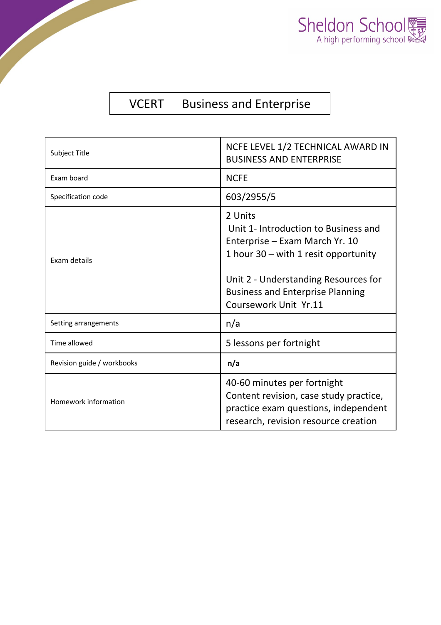

## VCERT Business and Enterprise

| Subject Title              | NCFE LEVEL 1/2 TECHNICAL AWARD IN<br><b>BUSINESS AND ENTERPRISE</b>                                                                                                                                                                     |  |
|----------------------------|-----------------------------------------------------------------------------------------------------------------------------------------------------------------------------------------------------------------------------------------|--|
| Exam board                 | <b>NCFE</b>                                                                                                                                                                                                                             |  |
| Specification code         | 603/2955/5                                                                                                                                                                                                                              |  |
| Exam details               | 2 Units<br>Unit 1- Introduction to Business and<br>Enterprise - Exam March Yr. 10<br>1 hour $30 -$ with 1 resit opportunity<br>Unit 2 - Understanding Resources for<br><b>Business and Enterprise Planning</b><br>Coursework Unit Yr.11 |  |
| Setting arrangements       | n/a                                                                                                                                                                                                                                     |  |
| Time allowed               | 5 lessons per fortnight                                                                                                                                                                                                                 |  |
| Revision guide / workbooks | n/a                                                                                                                                                                                                                                     |  |
| Homework information       | 40-60 minutes per fortnight<br>Content revision, case study practice,<br>practice exam questions, independent<br>research, revision resource creation                                                                                   |  |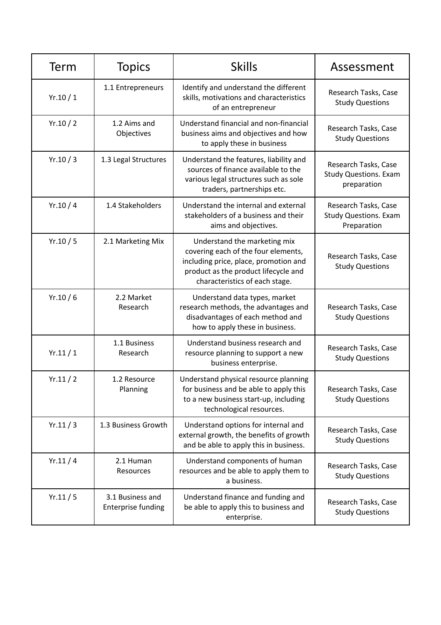| Term    | <b>Topics</b>                                 | <b>Skills</b>                                                                                                                                                                          | Assessment                                                          |
|---------|-----------------------------------------------|----------------------------------------------------------------------------------------------------------------------------------------------------------------------------------------|---------------------------------------------------------------------|
| Yr.10/1 | 1.1 Entrepreneurs                             | Identify and understand the different<br>skills, motivations and characteristics<br>of an entrepreneur                                                                                 | Research Tasks, Case<br><b>Study Questions</b>                      |
| Yr.10/2 | 1.2 Aims and<br>Objectives                    | Understand financial and non-financial<br>business aims and objectives and how<br>to apply these in business                                                                           | Research Tasks, Case<br><b>Study Questions</b>                      |
| Yr.10/3 | 1.3 Legal Structures                          | Understand the features, liability and<br>sources of finance available to the<br>various legal structures such as sole<br>traders, partnerships etc.                                   | Research Tasks, Case<br><b>Study Questions. Exam</b><br>preparation |
| Yr.10/4 | 1.4 Stakeholders                              | Understand the internal and external<br>stakeholders of a business and their<br>aims and objectives.                                                                                   | Research Tasks, Case<br><b>Study Questions. Exam</b><br>Preparation |
| Yr.10/5 | 2.1 Marketing Mix                             | Understand the marketing mix<br>covering each of the four elements,<br>including price, place, promotion and<br>product as the product lifecycle and<br>characteristics of each stage. | Research Tasks, Case<br><b>Study Questions</b>                      |
| Yr.10/6 | 2.2 Market<br>Research                        | Understand data types, market<br>research methods, the advantages and<br>disadvantages of each method and<br>how to apply these in business.                                           | Research Tasks, Case<br><b>Study Questions</b>                      |
| Yr.11/1 | 1.1 Business<br>Research                      | Understand business research and<br>resource planning to support a new<br>business enterprise.                                                                                         | Research Tasks, Case<br><b>Study Questions</b>                      |
| Yr.11/2 | 1.2 Resource<br>Planning                      | Understand physical resource planning<br>for business and be able to apply this<br>to a new business start-up, including<br>technological resources.                                   | Research Tasks, Case<br><b>Study Questions</b>                      |
| Yr.11/3 | 1.3 Business Growth                           | Understand options for internal and<br>external growth, the benefits of growth<br>and be able to apply this in business.                                                               | Research Tasks, Case<br><b>Study Questions</b>                      |
| Yr.11/4 | 2.1 Human<br>Resources                        | Understand components of human<br>resources and be able to apply them to<br>a business.                                                                                                | Research Tasks, Case<br><b>Study Questions</b>                      |
| Yr.11/5 | 3.1 Business and<br><b>Enterprise funding</b> | Understand finance and funding and<br>be able to apply this to business and<br>enterprise.                                                                                             | Research Tasks, Case<br><b>Study Questions</b>                      |